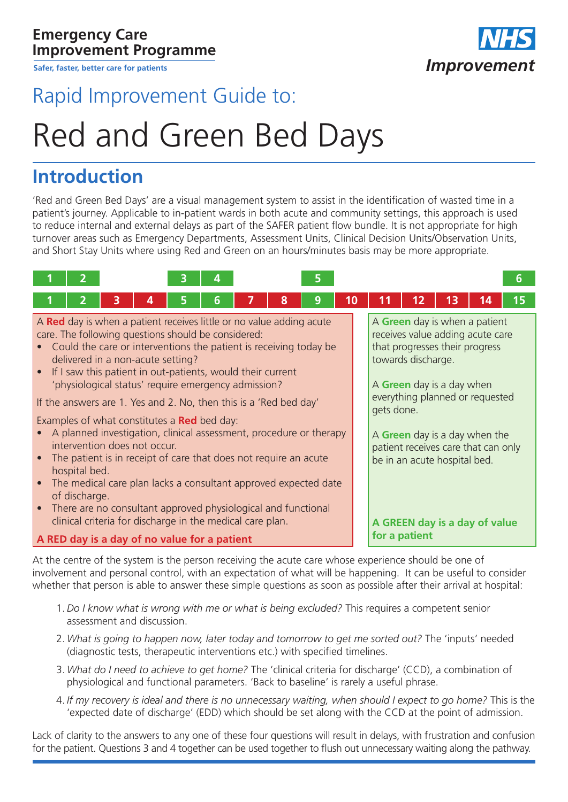#### **Emergency Care Improvement Programme**

**Safer, faster, better care for patients**



## Rapid Improvement Guide to:

# Red and Green Bed Days

## **Introduction**

'Red and Green Bed Days' are a visual management system to assist in the identification of wasted time in a patient's journey. Applicable to in-patient wards in both acute and community settings, this approach is used to reduce internal and external delays as part of the SAFER patient flow bundle. It is not appropriate for high turnover areas such as Emergency Departments, Assessment Units, Clinical Decision Units/Observation Units, and Short Stay Units where using Red and Green on an hours/minutes basis may be more appropriate.

|                                                                                                                                                                                                                                                                                                                                                                                                                                                                                                                                                                                                                                                                                                                                                                                                                                                                                                                                             |   |   | 3<br>4 |   |   | 5 |   |    |            |                                                                                                                                    |    |                                                                                                                                                                                                               | 6  |
|---------------------------------------------------------------------------------------------------------------------------------------------------------------------------------------------------------------------------------------------------------------------------------------------------------------------------------------------------------------------------------------------------------------------------------------------------------------------------------------------------------------------------------------------------------------------------------------------------------------------------------------------------------------------------------------------------------------------------------------------------------------------------------------------------------------------------------------------------------------------------------------------------------------------------------------------|---|---|--------|---|---|---|---|----|------------|------------------------------------------------------------------------------------------------------------------------------------|----|---------------------------------------------------------------------------------------------------------------------------------------------------------------------------------------------------------------|----|
| 2                                                                                                                                                                                                                                                                                                                                                                                                                                                                                                                                                                                                                                                                                                                                                                                                                                                                                                                                           | 3 | 4 | 5      | 6 | 7 | 8 | 9 | 10 | 11         | 12                                                                                                                                 | 13 | 14                                                                                                                                                                                                            | 15 |
| A Red day is when a patient receives little or no value adding acute<br>care. The following questions should be considered:<br>Could the care or interventions the patient is receiving today be<br>delivered in a non-acute setting?<br>If I saw this patient in out-patients, would their current<br>'physiological status' require emergency admission?<br>If the answers are 1. Yes and 2. No, then this is a 'Red bed day'<br>Examples of what constitutes a Red bed day:<br>A planned investigation, clinical assessment, procedure or therapy<br>intervention does not occur.<br>The patient is in receipt of care that does not require an acute<br>hospital bed.<br>The medical care plan lacks a consultant approved expected date<br>of discharge.<br>There are no consultant approved physiological and functional<br>clinical criteria for discharge in the medical care plan.<br>A RED day is a day of no value for a patient |   |   |        |   |   |   |   |    | gets done. | that progresses their progress<br>towards discharge.<br>A Green day is a day when<br>be in an acute hospital bed.<br>for a patient |    | A Green day is when a patient<br>receives value adding acute care<br>everything planned or requested<br>A Green day is a day when the<br>patient receives care that can only<br>A GREEN day is a day of value |    |

At the centre of the system is the person receiving the acute care whose experience should be one of involvement and personal control, with an expectation of what will be happening. It can be useful to consider whether that person is able to answer these simple questions as soon as possible after their arrival at hospital:

- 1.*Do I know what is wrong with me or what is being excluded?* This requires a competent senior assessment and discussion.
- 2. *What is going to happen now, later today and tomorrow to get me sorted out?* The 'inputs' needed (diagnostic tests, therapeutic interventions etc.) with specified timelines.
- 3. *What do I need to achieve to get home?* The 'clinical criteria for discharge' (CCD), a combination of physiological and functional parameters. 'Back to baseline' is rarely a useful phrase.
- 4. *If my recovery is ideal and there is no unnecessary waiting, when should I expect to go home?* This is the 'expected date of discharge' (EDD) which should be set along with the CCD at the point of admission.

Lack of clarity to the answers to any one of these four questions will result in delays, with frustration and confusion for the patient. Questions 3 and 4 together can be used together to flush out unnecessary waiting along the pathway.